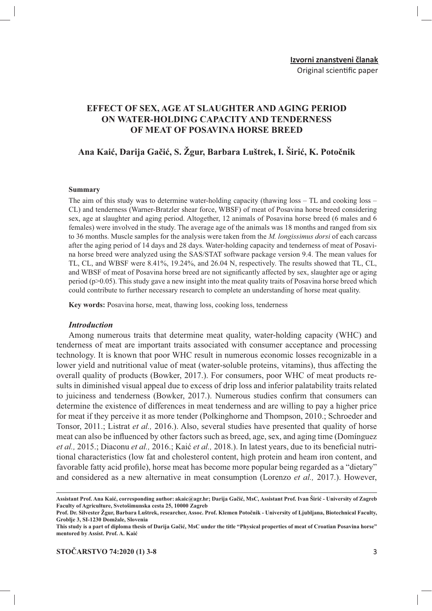## **EFFECT OF SEX, AGE AT SLAUGHTER AND AGING PERIOD** ON WATER-HOLDING CAPACITY AND TENDERNESS OF MEAT OF POSAVINA HORSE BREED

## Ana Kaić, Darija Gačić, S. Žgur, Barbara Luštrek, I. Širić, K. Potočnik

#### **Summary**

The aim of this study was to determine water-holding capacity (thawing  $loss - TL$  and cooking  $loss -$ CL) and tenderness (Warner-Bratzler shear force, WBSF) of meat of Posavina horse breed considering sex, age at slaughter and aging period. Altogether, 12 animals of Posavina horse breed (6 males and 6 females) were involved in the study. The average age of the animals was 18 months and ranged from six to 36 months. Muscle samples for the analysis were taken from the *M. longissimus dorsi* of each carcass after the aging period of 14 days and 28 days. Water-holding capacity and tenderness of meat of Posavina horse breed were analyzed using the SAS/STAT software package version 9.4. The mean values for TL, CL, and WBSF were 8.41%, 19.24%, and 26.04 N, respectively. The results showed that TL, CL, and WBSF of meat of Posavina horse breed are not significantly affected by sex, slaughter age or aging period ( $p > 0.05$ ). This study gave a new insight into the meat quality traits of Posavina horse breed which could contribute to further necessary research to complete an understanding of horse meat quality.

Key words: Posavina horse, meat, thawing loss, cooking loss, tenderness

#### **Introduction**

Among numerous traits that determine meat quality, water-holding capacity (WHC) and tenderness of meat are important traits associated with consumer acceptance and processing technology. It is known that poor WHC result in numerous economic losses recognizable in a lower yield and nutritional value of meat (water-soluble proteins, vitamins), thus affecting the overall quality of products (Bowker, 2017.). For consumers, poor WHC of meat products results in diminished visual appeal due to excess of drip loss and inferior palatability traits related to juiciness and tenderness (Bowker, 2017.). Numerous studies confirm that consumers can determine the existence of differences in meat tenderness and are willing to pay a higher price for meat if they perceive it as more tender (Polkinghorne and Thompson, 2010.; Schroeder and Tonsor, 2011.; Listrat et al., 2016.). Also, several studies have presented that quality of horse meat can also be influenced by other factors such as breed, age, sex, and aging time (Dominguez et al., 2015.; Diaconu et al., 2016.; Kaić et al., 2018.). In latest years, due to its beneficial nutritional characteristics (low fat and cholesterol content, high protein and heam iron content, and favorable fatty acid profile), horse meat has become more popular being regarded as a "dietary" and considered as a new alternative in meat consumption (Lorenzo et al., 2017.). However,

Assistant Prof. Ana Kaić, corresponding author: akaic@agr.hr; Darija Gačić, MsC, Assistant Prof. Ivan Širić - University of Zagreb Faculty of Agriculture, Svetošimunska cesta 25, 10000 Zagreb

Prof. Dr. Silvester Žgur, Barbara Luštrek, researcher, Assoc. Prof. Klemen Potočnik - University of Ljubljana, Biotechnical Faculty, Groblie 3, SI-1230 Domžale, Slovenia

This study is a part of diploma thesis of Darija Gačić, MsC under the title "Physical properties of meat of Croatian Posavina horse" mentored by Assist. Prof. A. Kaić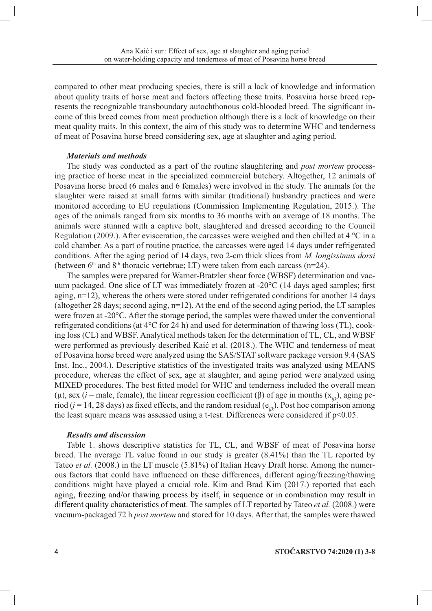compared to other meat producing species, there is still a lack of knowledge and information about quality traits of horse meat and factors affecting those traits. Posavina horse breed represents the recognizable transboundary autochthonous cold-blooded breed. The significant income of this breed comes from meat production although there is a lack of knowledge on their meat quality traits. In this context, the aim of this study was to determine WHC and tenderness of meat of Posavina horse breed considering sex, age at slaughter and aging period.

### **Materials and methods**

The study was conducted as a part of the routine slaughtering and *post mortem* processing practice of horse meat in the specialized commercial butchery. Altogether, 12 animals of Posavina horse breed (6 males and 6 females) were involved in the study. The animals for the slaughter were raised at small farms with similar (traditional) husbandry practices and were monitored according to EU regulations (Commission Implementing Regulation, 2015.). The ages of the animals ranged from six months to 36 months with an average of 18 months. The animals were stunned with a captive bolt, slaughtered and dressed according to the Council Regulation (2009.). After evisceration, the carcasses were weighed and then chilled at 4  $^{\circ}$ C in a cold chamber. As a part of routine practice, the carcasses were aged 14 days under refrigerated conditions. After the aging period of 14 days, two 2-cm thick slices from *M. longissimus dorsi* (between  $6<sup>th</sup>$  and  $8<sup>th</sup>$  thoracic vertebrae; LT) were taken from each carcass (n=24).

The samples were prepared for Warner-Bratzler shear force (WBSF) determination and vacuum packaged. One slice of LT was immediately frozen at -20°C (14 days aged samples; first aging,  $n=12$ ), whereas the others were stored under refrigerated conditions for another 14 days (altogether 28 days; second aging,  $n=12$ ). At the end of the second aging period, the LT samples were frozen at -20°C. After the storage period, the samples were thawed under the conventional refrigerated conditions (at 4°C for 24 h) and used for determination of thawing loss (TL), cooking loss (CL) and WBSF. Analytical methods taken for the determination of TL, CL, and WBSF were performed as previously described Kaić et al. (2018.). The WHC and tenderness of meat of Posavina horse breed were analyzed using the SAS/STAT software package version 9.4 (SAS Inst. Inc., 2004.). Descriptive statistics of the investigated traits was analyzed using MEANS procedure, whereas the effect of sex, age at slaughter, and aging period were analyzed using MIXED procedures. The best fitted model for WHC and tenderness included the overall mean (µ), sex (*i* = male, female), the linear regression coefficient ( $\beta$ ) of age in months (x<sub>ii</sub>), aging period ( $j = 14$ , 28 days) as fixed effects, and the random residual ( $e_{ijk}$ ). Post hoc comparison among the least square means was assessed using a t-test. Differences were considered if  $p<0.05$ .

#### **Results and discussion**

Table 1. shows descriptive statistics for TL, CL, and WBSF of meat of Posavina horse breed. The average TL value found in our study is greater (8.41%) than the TL reported by Tateo *et al.* (2008.) in the LT muscle (5.81%) of Italian Heavy Draft horse. Among the numerous factors that could have influenced on these differences, different aging/freezing/thawing conditions might have played a crucial role. Kim and Brad Kim (2017.) reported that each aging, freezing and/or thawing process by itself, in sequence or in combination may result in different quality characteristics of meat. The samples of LT reported by Tateo et al. (2008.) were vacuum-packaged 72 h post mortem and stored for 10 days. After that, the samples were thawed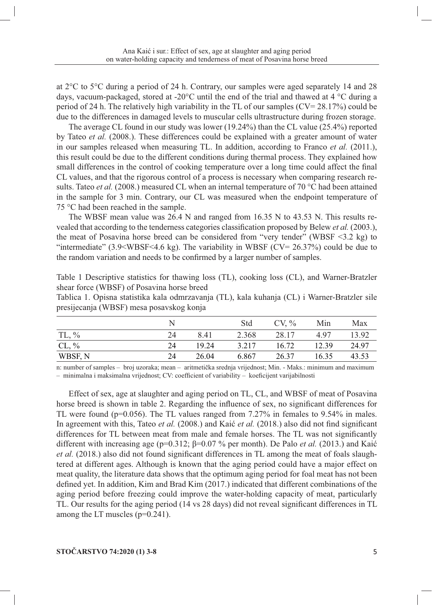at  $2^{\circ}$ C to  $5^{\circ}$ C during a period of 24 h. Contrary, our samples were aged separately 14 and 28 days, vacuum-packaged, stored at -20 $^{\circ}$ C until the end of the trial and thawed at 4  $^{\circ}$ C during a period of 24 h. The relatively high variability in the TL of our samples  $(CV = 28.17%)$  could be due to the differences in damaged levels to muscular cells ultrastructure during frozen storage.

The average CL found in our study was lower  $(19.24\%)$  than the CL value  $(25.4\%)$  reported by Tateo et al. (2008.). These differences could be explained with a greater amount of water in our samples released when measuring TL. In addition, according to Franco et al. (2011.), this result could be due to the different conditions during thermal process. They explained how small differences in the control of cooking temperature over a long time could affect the final CL values, and that the rigorous control of a process is necessary when comparing research results. Tateo *et al.* (2008.) measured CL when an internal temperature of 70  $^{\circ}$ C had been attained in the sample for 3 min. Contrary, our CL was measured when the endpoint temperature of  $75^{\circ}$ C had been reached in the sample.

The WBSF mean value was  $26.4$  N and ranged from  $16.35$  N to  $43.53$  N. This results revealed that according to the tenderness categories classification proposed by Belew *et al.* (2003.), the meat of Posavina horse breed can be considered from "very tender" (WBSF  $\leq$ 3.2 kg) to "intermediate"  $(3.9 \times WBSF \le 4.6 \text{ kg})$ . The variability in WBSF  $(CV = 26.37\%)$  could be due to the random variation and needs to be confirmed by a larger number of samples.

Table 1 Descriptive statistics for thawing loss (TL), cooking loss (CL), and Warner-Bratzler shear force (WBSF) of Posavina horse breed

Tablica 1. Opisna statistika kala odmrzavanja (TL), kala kuhanja (CL) i Warner-Bratzler sile presijecanja (WBSF) mesa posavskog konja

|          |    |       | Std   | $CV, \%$ | Min   | Max   |
|----------|----|-------|-------|----------|-------|-------|
| $TL, \%$ | 24 | 8.41  | 2.368 | 28.17    | 4.97  | 13.92 |
| $CL, \%$ | 24 | 19.24 | 3.217 | 16.72    | 12.39 | 24.97 |
| WBSF, N  | 24 | 26.04 | 6.867 | 26.37    | 16.35 | 43.53 |

n: number of samples - broj uzoraka; mean - aritmetička srednja vrijednost; Min. - Maks.: minimum and maximum - minimalna i maksimalna vrijednost; CV: coefficient of variability - koeficijent varijabilnosti

Effect of sex, age at slaughter and aging period on TL, CL, and WBSF of meat of Posavina horse breed is shown in table 2. Regarding the influence of sex, no significant differences for TL were found ( $p=0.056$ ). The TL values ranged from 7.27% in females to 9.54% in males. In agreement with this, Tateo et al. (2008.) and Kaić et al. (2018.) also did not find significant differences for TL between meat from male and female horses. The TL was not significantly different with increasing age ( $p=0.312$ ;  $\beta=0.07$  % per month). De Palo *et al.* (2013.) and Kaić *et al.* (2018.) also did not found significant differences in TL among the meat of foals slaughtered at different ages. Although is known that the aging period could have a major effect on meat quality, the literature data shows that the optimum aging period for foal meat has not been defined yet. In addition, Kim and Brad Kim (2017.) indicated that different combinations of the aging period before freezing could improve the water-holding capacity of meat, particularly TL. Our results for the aging period (14 vs 28 days) did not reveal significant differences in TL among the LT muscles  $(p=0.241)$ .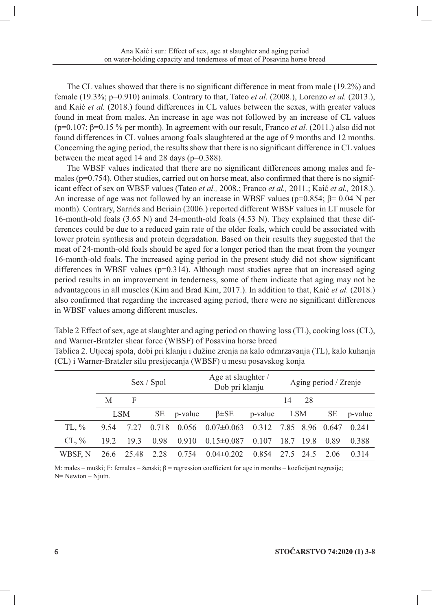The CL values showed that there is no significant difference in meat from male (19.2%) and female (19.3%; p=0.910) animals. Contrary to that, Tateo *et al.* (2008.), Lorenzo *et al.* (2013.), and Kaić et al. (2018.) found differences in CL values between the sexes, with greater values found in meat from males. An increase in age was not followed by an increase of CL values  $(p=0.107; \beta=0.15\%$  per month). In agreement with our result, Franco *et al.* (2011.) also did not found differences in CL values among foals slaughtered at the age of 9 months and 12 months. Concerning the aging period, the results show that there is no significant difference in CL values between the meat aged 14 and 28 days ( $p=0.388$ ).

The WBSF values indicated that there are no significant differences among males and females ( $p=0.754$ ). Other studies, carried out on horse meat, also confirmed that there is no significant effect of sex on WBSF values (Tateo et al., 2008.; Franco et al., 2011.; Kaić et al., 2018.). An increase of age was not followed by an increase in WBSF values ( $p=0.854$ ;  $\beta=0.04$  N per month). Contrary, Sarriés and Beriain (2006.) reported different WBSF values in LT muscle for 16-month-old foals (3.65 N) and 24-month-old foals (4.53 N). They explained that these differences could be due to a reduced gain rate of the older foals, which could be associated with lower protein synthesis and protein degradation. Based on their results they suggested that the meat of 24-month-old foals should be aged for a longer period than the meat from the younger 16-month-old foals. The increased aging period in the present study did not show significant differences in WBSF values ( $p=0.314$ ). Although most studies agree that an increased aging period results in an improvement in tenderness, some of them indicate that aging may not be advantageous in all muscles (Kim and Brad Kim, 2017.). In addition to that, Kaić et al. (2018.) also confirmed that regarding the increased aging period, there were no significant differences in WBSF values among different muscles.

Table 2 Effect of sex, age at slaughter and aging period on thawing loss (TL), cooking loss (CL), and Warner-Bratzler shear force (WBSF) of Posavina horse breed

|          | Sex / Spol |       |           |         | Age at slaughter /<br>Dob pri klanju |         | Aging period / Zrenje |           |           |         |
|----------|------------|-------|-----------|---------|--------------------------------------|---------|-----------------------|-----------|-----------|---------|
|          | M          | F     |           |         |                                      |         | 14                    | 28        |           |         |
|          | <b>LSM</b> |       | <b>SE</b> | p-value | $\beta \pm SE$                       | p-value | LSM                   |           | <b>SE</b> | p-value |
| $TL, \%$ | 9.54       | 7.27  | 0.718     | 0.056   | $0.07 \pm 0.063$                     | 0.312   |                       | 7.85 8.96 | 0.647     | 0.241   |
| $CL, \%$ | 19.2       | 19.3  | 0.98      | 0.910   | $0.15 \pm 0.087$                     | 0.107   | 18.7                  | 19.8      | 0.89      | 0.388   |
| WBSF, N  | 26.6       | 25.48 | 2.28      | 0.754   | $0.04 \pm 0.202$                     | 0.854   | 27.5                  | 24.5      | 2.06      | 0.314   |

Tablica 2. Utjecaj spola, dobi pri klanju i dužine zrenja na kalo odmrzavanja (TL), kalo kuhanja (CL) i Warner-Bratzler silu presijecanja (WBSF) u mesu posavskog konja

M: males – muški; F: females – ženski;  $\beta$  = regression coefficient for age in months – koeficijent regresije;  $N = Newton - Nj$ utn.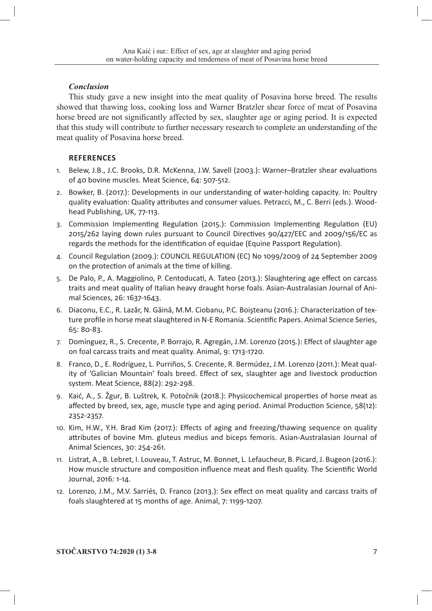### **Conclusion**

This study gave a new insight into the meat quality of Posavina horse breed. The results showed that thawing loss, cooking loss and Warner Bratzler shear force of meat of Posavina horse breed are not significantly affected by sex, slaughter age or aging period. It is expected that this study will contribute to further necessary research to complete an understanding of the meat quality of Posavina horse breed.

### **REFERENCES**

- 1. Belew, J.B., J.C. Brooks, D.R. McKenna, J.W. Savell (2003.): Warner-Bratzler shear evaluations of 40 bovine muscles. Meat Science, 64: 507-512.
- 2. Bowker, B. (2017.): Developments in our understanding of water-holding capacity. In: Poultry quality evaluation: Quality attributes and consumer values. Petracci, M., C. Berri (eds.). Woodhead Publishing, UK, 77-113.
- 3. Commission Implementing Regulation (2015.): Commission Implementing Regulation (EU) 2015/262 laying down rules pursuant to Council Directives 90/427/EEC and 2009/156/EC as regards the methods for the identification of equidae (Equine Passport Regulation).
- 4. Council Regulation (2009.): COUNCIL REGULATION (EC) No 1099/2009 of 24 September 2009 on the protection of animals at the time of killing.
- 5. De Palo, P., A. Maggiolino, P. Centoducati, A. Tateo (2013.): Slaughtering age effect on carcass traits and meat quality of Italian heavy draught horse foals. Asian-Australasian Journal of Animal Sciences, 26: 1637-1643.
- 6. Diaconu, E.C., R. Lazăr, N. Găină, M.M. Ciobanu, P.C. Boișteanu (2016.): Characterization of texture profile in horse meat slaughtered in N-E Romania. Scientific Papers. Animal Science Series, 65: 80-83.
- 7. Domínguez, R., S. Crecente, P. Borrajo, R. Agregán, J.M. Lorenzo (2015.): Effect of slaughter age on foal carcass traits and meat quality. Animal, 9: 1713-1720.
- 8. Franco, D., E. Rodríguez, L. Purriños, S. Crecente, R. Bermúdez, J.M. Lorenzo (2011.): Meat quality of 'Galician Mountain' foals breed. Effect of sex, slaughter age and livestock production system. Meat Science, 88(2): 292-298.
- 9. Kaić, A., S. Žgur, B. Luštrek, K. Potočnik (2018.): Physicochemical properties of horse meat as affected by breed, sex, age, muscle type and aging period. Animal Production Science, 58(12): 2352-2357.
- 10. Kim, H.W., Y.H. Brad Kim (2017.): Effects of aging and freezing/thawing sequence on quality attributes of bovine Mm. gluteus medius and biceps femoris. Asian-Australasian Journal of Animal Sciences, 30: 254-261.
- 11. Listrat, A., B. Lebret, I. Louveau, T. Astruc, M. Bonnet, L. Lefaucheur, B. Picard, J. Bugeon (2016.): How muscle structure and composition influence meat and flesh quality. The Scientific World Journal, 2016: 1-14.
- 12. Lorenzo, J.M., M.V. Sarriés, D. Franco (2013.): Sex effect on meat quality and carcass traits of foals slaughtered at 15 months of age. Animal, 7: 1199-1207.